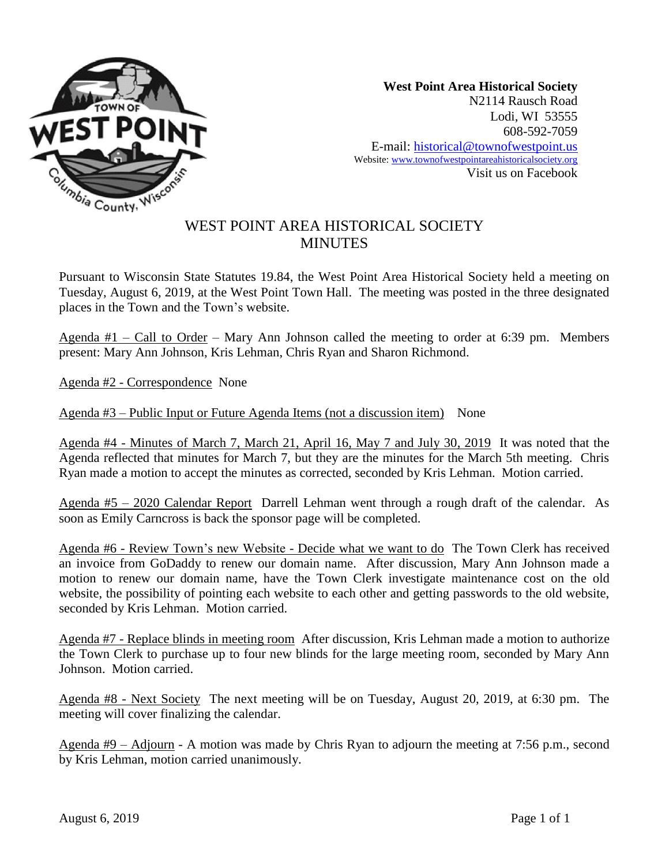

**West Point Area Historical Society** N2114 Rausch Road Lodi, WI 53555 608-592-7059 E-mail: historical@townofwestpoint.us Website: www.townofwestpointareahistoricalsociety.org Visit us on Facebook

## WEST POINT AREA HISTORICAL SOCIETY **MINUTES**

Pursuant to Wisconsin State Statutes 19.84, the West Point Area Historical Society held a meeting on Tuesday, August 6, 2019, at the West Point Town Hall. The meeting was posted in the three designated places in the Town and the Town's website.

Agenda #1 – Call to Order – Mary Ann Johnson called the meeting to order at 6:39 pm. Members present: Mary Ann Johnson, Kris Lehman, Chris Ryan and Sharon Richmond.

Agenda #2 - Correspondence None

Agenda #3 – Public Input or Future Agenda Items (not a discussion item) None

Agenda #4 - Minutes of March 7, March 21, April 16, May 7 and July 30, 2019 It was noted that the Agenda reflected that minutes for March 7, but they are the minutes for the March 5th meeting. Chris Ryan made a motion to accept the minutes as corrected, seconded by Kris Lehman. Motion carried.

Agenda #5 – 2020 Calendar Report Darrell Lehman went through a rough draft of the calendar. As soon as Emily Carncross is back the sponsor page will be completed.

Agenda #6 - Review Town's new Website - Decide what we want to do The Town Clerk has received an invoice from GoDaddy to renew our domain name. After discussion, Mary Ann Johnson made a motion to renew our domain name, have the Town Clerk investigate maintenance cost on the old website, the possibility of pointing each website to each other and getting passwords to the old website, seconded by Kris Lehman. Motion carried.

Agenda #7 - Replace blinds in meeting room After discussion, Kris Lehman made a motion to authorize the Town Clerk to purchase up to four new blinds for the large meeting room, seconded by Mary Ann Johnson. Motion carried.

Agenda #8 - Next Society The next meeting will be on Tuesday, August 20, 2019, at 6:30 pm. The meeting will cover finalizing the calendar.

Agenda #9 – Adjourn - A motion was made by Chris Ryan to adjourn the meeting at 7:56 p.m., second by Kris Lehman, motion carried unanimously.